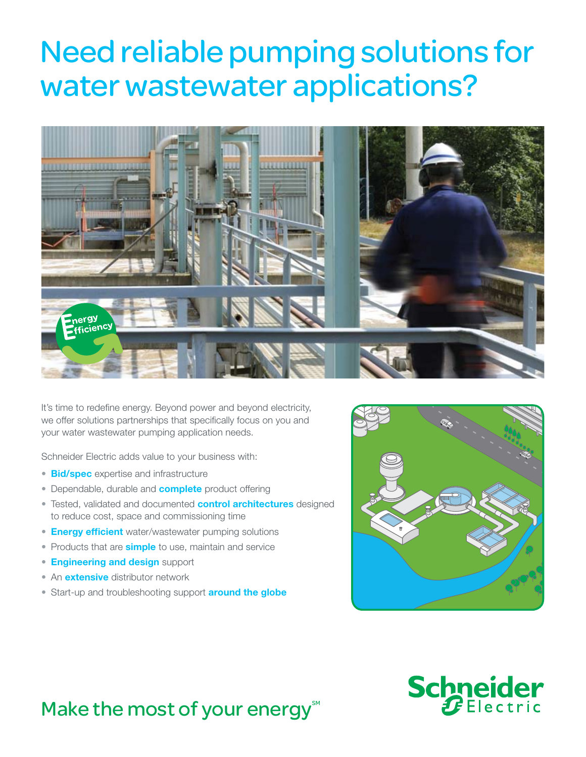# Need reliable pumping solutions for water wastewater applications?



It's time to redefine energy. Beyond power and beyond electricity, we offer solutions partnerships that specifically focus on you and your water wastewater pumping application needs.

Schneider Electric adds value to your business with:

- **Bid/spec** expertise and infrastructure
- Dependable, durable and **complete** product offering
- Tested, validated and documented **control architectures** designed to reduce cost, space and commissioning time
- Energy efficient water/wastewater pumping solutions
- Products that are **simple** to use, maintain and service
- **Engineering and design support**
- An **extensive** distributor network
- Start-up and troubleshooting support **around the globe**





## Make the most of your energy $\mathbb{M}$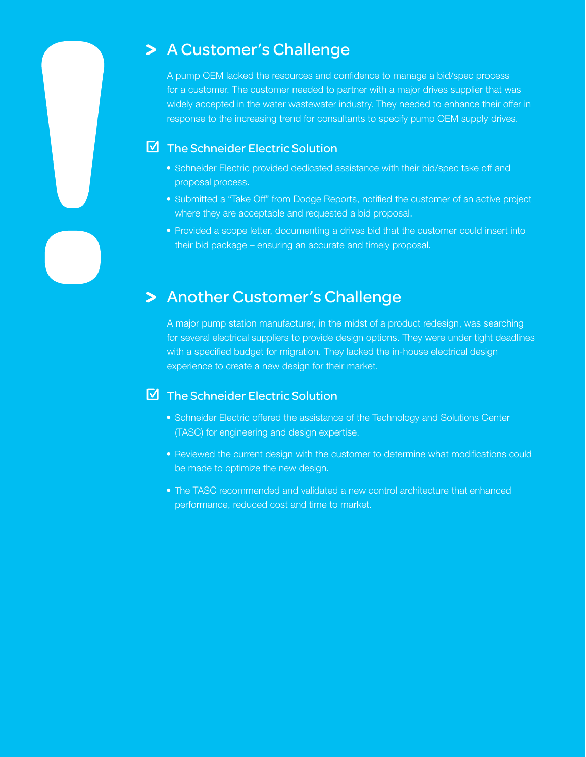## > A Customer's Challenge

A pump OEM lacked the resources and confidence to manage a bid/spec process for a customer. The customer needed to partner with a major drives supplier that was widely accepted in the water wastewater industry. They needed to enhance their offer in response to the increasing trend for consultants to specify pump OEM supply drives.

## **M** The Schneider Electric Solution

- Schneider Electric provided dedicated assistance with their bid/spec take off and proposal process.
- Submitted a "Take Off" from Dodge Reports, notified the customer of an active project where they are acceptable and requested a bid proposal.
- Provided a scope letter, documenting a drives bid that the customer could insert into their bid package – ensuring an accurate and timely proposal.

## > Another Customer's Challenge

A major pump station manufacturer, in the midst of a product redesign, was searching for several electrical suppliers to provide design options. They were under tight deadlines with a specified budget for migration. They lacked the in-house electrical design experience to create a new design for their market.

## **M** The Schneider Electric Solution

- Schneider Electric offered the assistance of the Technology and Solutions Center (TASC) for engineering and design expertise.
- Reviewed the current design with the customer to determine what modifications could be made to optimize the new design.
- The TASC recommended and validated a new control architecture that enhanced performance, reduced cost and time to market.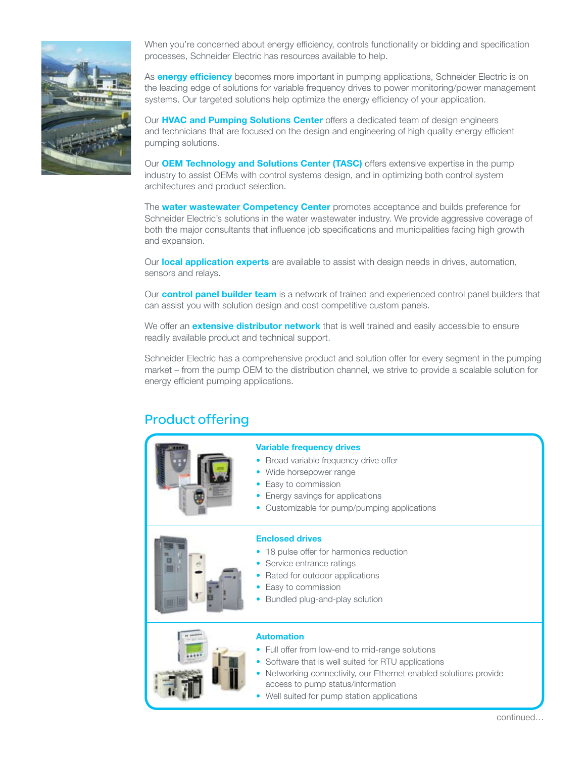

When you're concerned about energy efficiency, controls functionality or bidding and specification processes, Schneider Electric has resources available to help.

As **energy efficiency** becomes more important in pumping applications, Schneider Electric is on the leading edge of solutions for variable frequency drives to power monitoring/power management systems. Our targeted solutions help optimize the energy efficiency of your application.

Our HVAC and Pumping Solutions Center offers a dedicated team of design engineers and technicians that are focused on the design and engineering of high quality energy efficient pumping solutions.

Our **OEM Technology and Solutions Center (TASC)** offers extensive expertise in the pump industry to assist OEMs with control systems design, and in optimizing both control system architectures and product selection.

The **water wastewater Competency Center** promotes acceptance and builds preference for Schneider Electric's solutions in the water wastewater industry. We provide aggressive coverage of both the major consultants that influence job specifications and municipalities facing high growth and expansion.

Our local application experts are available to assist with design needs in drives, automation, sensors and relays.

Our **control panel builder team** is a network of trained and experienced control panel builders that can assist you with solution design and cost competitive custom panels.

We offer an **extensive distributor network** that is well trained and easily accessible to ensure readily available product and technical support.

Schneider Electric has a comprehensive product and solution offer for every segment in the pumping market – from the pump OEM to the distribution channel, we strive to provide a scalable solution for energy efficient pumping applications.

## Product offering



#### Variable frequency drives

- Broad variable frequency drive offer
- Wide horsepower range

• Service entrance ratings • Rated for outdoor applications

• Bundled plug-and-play solution

• Easy to commission

• Easy to commission

Enclosed drives

- Energy savings for applications
- Customizable for pump/pumping applications

• 18 pulse offer for harmonics reduction

#### Automation

- Full offer from low-end to mid-range solutions
- Software that is well suited for RTU applications
- Networking connectivity, our Ethernet enabled solutions provide access to pump status/information
- Well suited for pump station applications